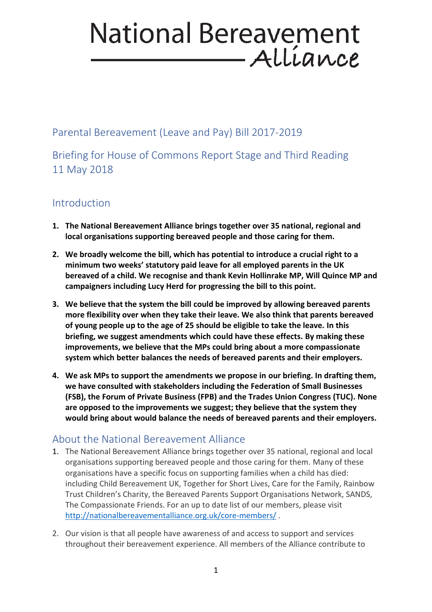# **National Bereavement** Allíance

Parental Bereavement (Leave and Pay) Bill 2017-2019

Briefing for House of Commons Report Stage and Third Reading 11 May 2018

## Introduction

- **1. The National Bereavement Alliance brings together over 35 national, regional and local organisations supporting bereaved people and those caring for them.**
- **2. We broadly welcome the bill, which has potential to introduce a crucial right to a minimum two weeks' statutory paid leave for all employed parents in the UK bereaved of a child. We recognise and thank Kevin Hollinrake MP, Will Quince MP and campaigners including Lucy Herd for progressing the bill to this point.**
- **3. We believe that the system the bill could be improved by allowing bereaved parents more flexibility over when they take their leave. We also think that parents bereaved of young people up to the age of 25 should be eligible to take the leave. In this briefing, we suggest amendments which could have these effects. By making these improvements, we believe that the MPs could bring about a more compassionate system which better balances the needs of bereaved parents and their employers.**
- **4. We ask MPs to support the amendments we propose in our briefing. In drafting them, we have consulted with stakeholders including the Federation of Small Businesses (FSB), the Forum of Private Business (FPB) and the Trades Union Congress (TUC). None are opposed to the improvements we suggest; they believe that the system they would bring about would balance the needs of bereaved parents and their employers.**

## About the National Bereavement Alliance

- 1. The National Bereavement Alliance brings together over 35 national, regional and local organisations supporting bereaved people and those caring for them. Many of these organisations have a specific focus on supporting families when a child has died: including Child Bereavement UK, Together for Short Lives, Care for the Family, Rainbow Trust Children's Charity, the Bereaved Parents Support Organisations Network, SANDS, The Compassionate Friends. For an up to date list of our members, please visit <http://nationalbereavementalliance.org.uk/core-members/> .
- 2. Our vision is that all people have awareness of and access to support and services throughout their bereavement experience. All members of the Alliance contribute to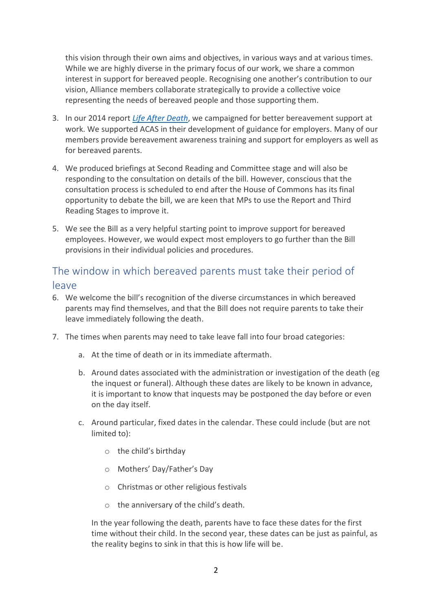this vision through their own aims and objectives, in various ways and at various times. While we are highly diverse in the primary focus of our work, we share a common interest in support for bereaved people. Recognising one another's contribution to our vision, Alliance members collaborate strategically to provide a collective voice representing the needs of bereaved people and those supporting them.

- 3. In our 2014 report *[Life After Death](http://nationalbereavementalliance.org.uk/ourpublications/life-after-death/)*, we campaigned for better bereavement support at work. We supported ACAS in their development of guidance for employers. Many of our members provide bereavement awareness training and support for employers as well as for bereaved parents.
- 4. We produced briefings at Second Reading and Committee stage and will also be responding to the consultation on details of the bill. However, conscious that the consultation process is scheduled to end after the House of Commons has its final opportunity to debate the bill, we are keen that MPs to use the Report and Third Reading Stages to improve it.
- 5. We see the Bill as a very helpful starting point to improve support for bereaved employees. However, we would expect most employers to go further than the Bill provisions in their individual policies and procedures.

### The window in which bereaved parents must take their period of leave

- 6. We welcome the bill's recognition of the diverse circumstances in which bereaved parents may find themselves, and that the Bill does not require parents to take their leave immediately following the death.
- 7. The times when parents may need to take leave fall into four broad categories:
	- a. At the time of death or in its immediate aftermath.
	- b. Around dates associated with the administration or investigation of the death (eg the inquest or funeral). Although these dates are likely to be known in advance, it is important to know that inquests may be postponed the day before or even on the day itself.
	- c. Around particular, fixed dates in the calendar. These could include (but are not limited to):
		- o the child's birthday
		- o Mothers' Day/Father's Day
		- o Christmas or other religious festivals
		- o the anniversary of the child's death.

In the year following the death, parents have to face these dates for the first time without their child. In the second year, these dates can be just as painful, as the reality begins to sink in that this is how life will be.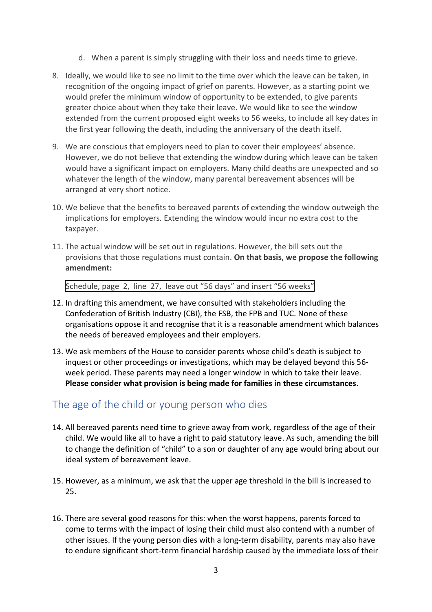- d. When a parent is simply struggling with their loss and needs time to grieve.
- 8. Ideally, we would like to see no limit to the time over which the leave can be taken, in recognition of the ongoing impact of grief on parents. However, as a starting point we would prefer the minimum window of opportunity to be extended, to give parents greater choice about when they take their leave. We would like to see the window extended from the current proposed eight weeks to 56 weeks, to include all key dates in the first year following the death, including the anniversary of the death itself.
- 9. We are conscious that employers need to plan to cover their employees' absence. However, we do not believe that extending the window during which leave can be taken would have a significant impact on employers. Many child deaths are unexpected and so whatever the length of the window, many parental bereavement absences will be arranged at very short notice.
- 10. We believe that the benefits to bereaved parents of extending the window outweigh the implications for employers. Extending the window would incur no extra cost to the taxpayer.
- 11. The actual window will be set out in regulations. However, the bill sets out the provisions that those regulations must contain. **On that basis, we propose the following amendment:**

Schedule, page 2, line 27, leave out "56 days" and insert "56 weeks"

- 12. In drafting this amendment, we have consulted with stakeholders including the Confederation of British Industry (CBI), the FSB, the FPB and TUC. None of these organisations oppose it and recognise that it is a reasonable amendment which balances the needs of bereaved employees and their employers.
- 13. We ask members of the House to consider parents whose child's death is subject to inquest or other proceedings or investigations, which may be delayed beyond this 56 week period. These parents may need a longer window in which to take their leave. **Please consider what provision is being made for families in these circumstances.**

### The age of the child or young person who dies

- 14. All bereaved parents need time to grieve away from work, regardless of the age of their child. We would like all to have a right to paid statutory leave. As such, amending the bill to change the definition of "child" to a son or daughter of any age would bring about our ideal system of bereavement leave.
- 15. However, as a minimum, we ask that the upper age threshold in the bill is increased to 25.
- 16. There are several good reasons for this: when the worst happens, parents forced to come to terms with the impact of losing their child must also contend with a number of other issues. If the young person dies with a long-term disability, parents may also have to endure significant short-term financial hardship caused by the immediate loss of their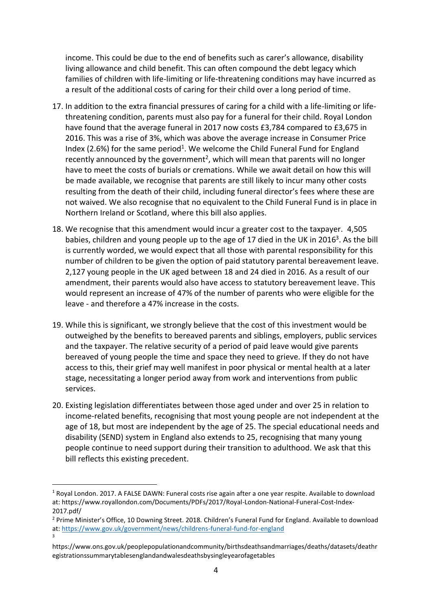income. This could be due to the end of benefits such as carer's allowance, disability living allowance and child benefit. This can often compound the debt legacy which families of children with life-limiting or life-threatening conditions may have incurred as a result of the additional costs of caring for their child over a long period of time.

- 17. In addition to the extra financial pressures of caring for a child with a life-limiting or lifethreatening condition, parents must also pay for a funeral for their child. Royal London have found that the average funeral in 2017 now costs £3,784 compared to £3,675 in 2016. This was a rise of 3%, which was above the average increase in Consumer Price Index (2.6%) for the same period<sup>1</sup>. We welcome the Child Funeral Fund for England recently announced by the government<sup>2</sup>, which will mean that parents will no longer have to meet the costs of burials or cremations. While we await detail on how this will be made available, we recognise that parents are still likely to incur many other costs resulting from the death of their child, including funeral director's fees where these are not waived. We also recognise that no equivalent to the Child Funeral Fund is in place in Northern Ireland or Scotland, where this bill also applies.
- 18. We recognise that this amendment would incur a greater cost to the taxpayer. 4,505 babies, children and young people up to the age of 17 died in the UK in 2016<sup>3</sup>. As the bill is currently worded, we would expect that all those with parental responsibility for this number of children to be given the option of paid statutory parental bereavement leave. 2,127 young people in the UK aged between 18 and 24 died in 2016. As a result of our amendment, their parents would also have access to statutory bereavement leave. This would represent an increase of 47% of the number of parents who were eligible for the leave - and therefore a 47% increase in the costs.
- 19. While this is significant, we strongly believe that the cost of this investment would be outweighed by the benefits to bereaved parents and siblings, employers, public services and the taxpayer. The relative security of a period of paid leave would give parents bereaved of young people the time and space they need to grieve. If they do not have access to this, their grief may well manifest in poor physical or mental health at a later stage, necessitating a longer period away from work and interventions from public services.
- 20. Existing legislation differentiates between those aged under and over 25 in relation to income-related benefits, recognising that most young people are not independent at the age of 18, but most are independent by the age of 25. The special educational needs and disability (SEND) system in England also extends to 25, recognising that many young people continue to need support during their transition to adulthood. We ask that this bill reflects this existing precedent.

 $\overline{a}$ 

<sup>1</sup> Royal London. 2017. A FALSE DAWN: Funeral costs rise again after a one year respite. Available to download at: https://www.royallondon.com/Documents/PDFs/2017/Royal-London-National-Funeral-Cost-Index-2017.pdf/

<sup>&</sup>lt;sup>2</sup> Prime Minister's Office, 10 Downing Street. 2018. Children's Funeral Fund for England. Available to download at:<https://www.gov.uk/government/news/childrens-funeral-fund-for-england> 3

https://www.ons.gov.uk/peoplepopulationandcommunity/birthsdeathsandmarriages/deaths/datasets/deathr egistrationssummarytablesenglandandwalesdeathsbysingleyearofagetables